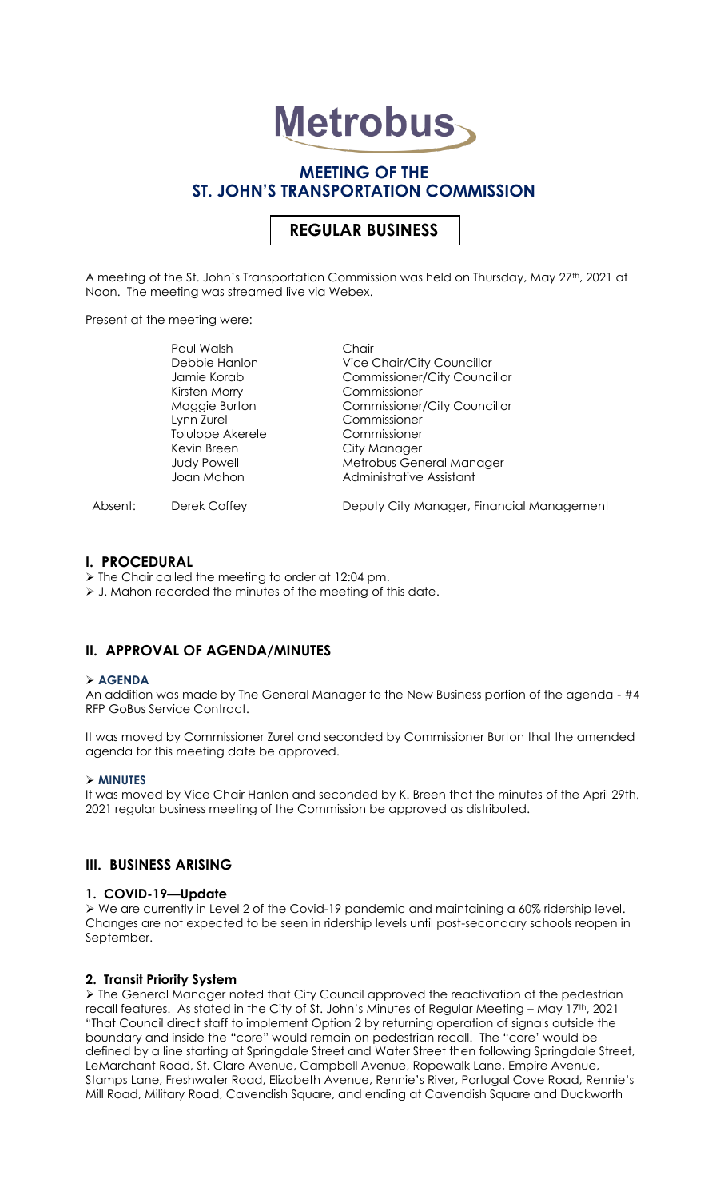# **Metrobus**

# **MEETING OF THE ST. JOHN'S TRANSPORTATION COMMISSION**

# **REGULAR BUSINESS**

A meeting of the St. John's Transportation Commission was held on Thursday, May 27<sup>th</sup>, 2021 at Noon. The meeting was streamed live via Webex.

Present at the meeting were:

|         | Paul Walsh         | Chair                                     |
|---------|--------------------|-------------------------------------------|
|         | Debbie Hanlon      | <b>Vice Chair/City Councillor</b>         |
|         | Jamie Korab        | <b>Commissioner/City Councillor</b>       |
|         | Kirsten Morry      | Commissioner                              |
|         | Maggie Burton      | <b>Commissioner/City Councillor</b>       |
|         | Lynn Zurel         | Commissioner                              |
|         | Tolulope Akerele   | Commissioner                              |
|         | Kevin Breen        | City Manager                              |
|         | <b>Judy Powell</b> | Metrobus General Manager                  |
|         | Joan Mahon         | Administrative Assistant                  |
| Absent: | Derek Coffey       | Deputy City Manager, Financial Management |

#### **I. PROCEDURAL**

- ➢ The Chair called the meeting to order at 12:04 pm.
- ➢ J. Mahon recorded the minutes of the meeting of this date.

### **II. APPROVAL OF AGENDA/MINUTES**

#### ➢ **AGENDA**

An addition was made by The General Manager to the New Business portion of the agenda - #4 RFP GoBus Service Contract.

It was moved by Commissioner Zurel and seconded by Commissioner Burton that the amended agenda for this meeting date be approved.

#### ➢ **MINUTES**

It was moved by Vice Chair Hanlon and seconded by K. Breen that the minutes of the April 29th, 2021 regular business meeting of the Commission be approved as distributed.

### **III. BUSINESS ARISING**

#### **1. COVID-19—Update**

➢ We are currently in Level 2 of the Covid-19 pandemic and maintaining a 60% ridership level. Changes are not expected to be seen in ridership levels until post-secondary schools reopen in September.

#### **2. Transit Priority System**

➢ The General Manager noted that City Council approved the reactivation of the pedestrian recall features. As stated in the City of St. John's Minutes of Regular Meeting - May 17<sup>th</sup>, 2021 "That Council direct staff to implement Option 2 by returning operation of signals outside the boundary and inside the "core" would remain on pedestrian recall. The "core' would be defined by a line starting at Springdale Street and Water Street then following Springdale Street, LeMarchant Road, St. Clare Avenue, Campbell Avenue, Ropewalk Lane, Empire Avenue, Stamps Lane, Freshwater Road, Elizabeth Avenue, Rennie's River, Portugal Cove Road, Rennie's Mill Road, Military Road, Cavendish Square, and ending at Cavendish Square and Duckworth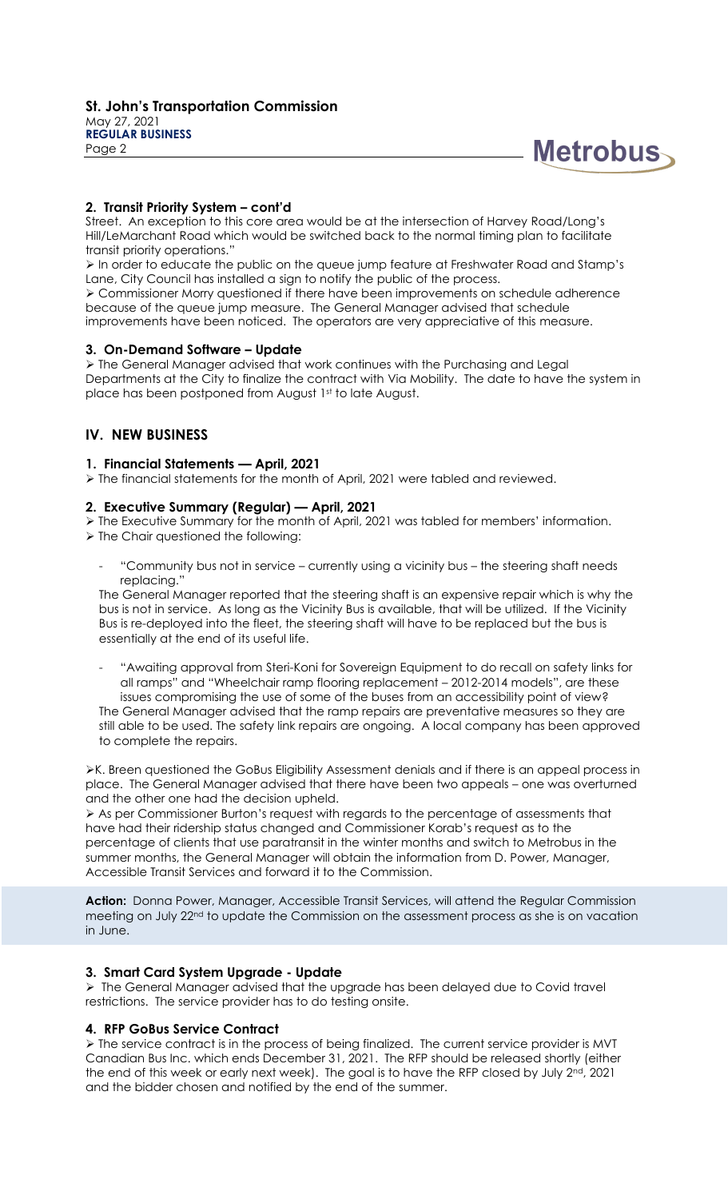



## **2. Transit Priority System – cont'd**

Street. An exception to this core area would be at the intersection of Harvey Road/Long's Hill/LeMarchant Road which would be switched back to the normal timing plan to facilitate transit priority operations."

➢ In order to educate the public on the queue jump feature at Freshwater Road and Stamp's Lane, City Council has installed a sign to notify the public of the process.

➢ Commissioner Morry questioned if there have been improvements on schedule adherence because of the queue jump measure. The General Manager advised that schedule improvements have been noticed. The operators are very appreciative of this measure.

### **3. On-Demand Software – Update**

➢ The General Manager advised that work continues with the Purchasing and Legal Departments at the City to finalize the contract with Via Mobility. The date to have the system in place has been postponed from August 1st to late August.

## **IV. NEW BUSINESS**

### **1. Financial Statements — April, 2021**

➢ The financial statements for the month of April, 2021 were tabled and reviewed.

#### **2. Executive Summary (Regular) — April, 2021**

➢ The Executive Summary for the month of April, 2021 was tabled for members' information.

- ➢ The Chair questioned the following:
	- "Community bus not in service currently using a vicinity bus the steering shaft needs replacing."

The General Manager reported that the steering shaft is an expensive repair which is why the bus is not in service. As long as the Vicinity Bus is available, that will be utilized. If the Vicinity Bus is re-deployed into the fleet, the steering shaft will have to be replaced but the bus is essentially at the end of its useful life.

- "Awaiting approval from Steri-Koni for Sovereign Equipment to do recall on safety links for all ramps" and "Wheelchair ramp flooring replacement – 2012-2014 models", are these issues compromising the use of some of the buses from an accessibility point of view?

The General Manager advised that the ramp repairs are preventative measures so they are still able to be used. The safety link repairs are ongoing. A local company has been approved to complete the repairs.

➢K. Breen questioned the GoBus Eligibility Assessment denials and if there is an appeal process in place. The General Manager advised that there have been two appeals – one was overturned and the other one had the decision upheld.

➢ As per Commissioner Burton's request with regards to the percentage of assessments that have had their ridership status changed and Commissioner Korab's request as to the percentage of clients that use paratransit in the winter months and switch to Metrobus in the summer months, the General Manager will obtain the information from D. Power, Manager, Accessible Transit Services and forward it to the Commission.

Action: Donna Power, Manager, Accessible Transit Services, will attend the Regular Commission meeting on July 22nd to update the Commission on the assessment process as she is on vacation in June.

### **3. Smart Card System Upgrade - Update**

➢ The General Manager advised that the upgrade has been delayed due to Covid travel restrictions. The service provider has to do testing onsite.

### **4. RFP GoBus Service Contract**

➢ The service contract is in the process of being finalized. The current service provider is MVT Canadian Bus Inc. which ends December 31, 2021. The RFP should be released shortly (either the end of this week or early next week). The goal is to have the RFP closed by July 2<sup>nd</sup>, 2021 and the bidder chosen and notified by the end of the summer.